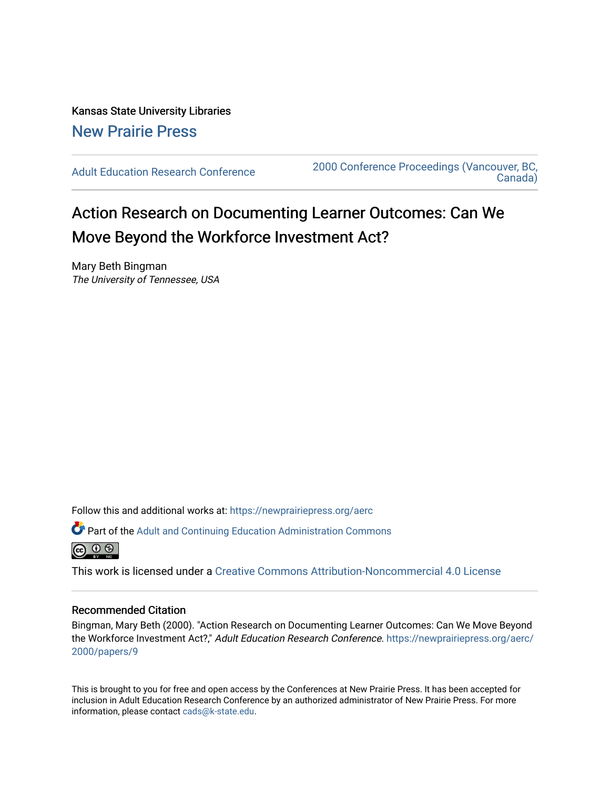Kansas State University Libraries [New Prairie Press](https://newprairiepress.org/) 

[Adult Education Research Conference](https://newprairiepress.org/aerc) [2000 Conference Proceedings \(Vancouver, BC,](https://newprairiepress.org/aerc/2000)  [Canada\)](https://newprairiepress.org/aerc/2000) 

# Action Research on Documenting Learner Outcomes: Can We Move Beyond the Workforce Investment Act?

Mary Beth Bingman The University of Tennessee, USA

Follow this and additional works at: [https://newprairiepress.org/aerc](https://newprairiepress.org/aerc?utm_source=newprairiepress.org%2Faerc%2F2000%2Fpapers%2F9&utm_medium=PDF&utm_campaign=PDFCoverPages)

Part of the [Adult and Continuing Education Administration Commons](http://network.bepress.com/hgg/discipline/789?utm_source=newprairiepress.org%2Faerc%2F2000%2Fpapers%2F9&utm_medium=PDF&utm_campaign=PDFCoverPages)



This work is licensed under a [Creative Commons Attribution-Noncommercial 4.0 License](https://creativecommons.org/licenses/by-nc/4.0/)

## Recommended Citation

Bingman, Mary Beth (2000). "Action Research on Documenting Learner Outcomes: Can We Move Beyond the Workforce Investment Act?," Adult Education Research Conference. [https://newprairiepress.org/aerc/](https://newprairiepress.org/aerc/2000/papers/9) [2000/papers/9](https://newprairiepress.org/aerc/2000/papers/9) 

This is brought to you for free and open access by the Conferences at New Prairie Press. It has been accepted for inclusion in Adult Education Research Conference by an authorized administrator of New Prairie Press. For more information, please contact [cads@k-state.edu](mailto:cads@k-state.edu).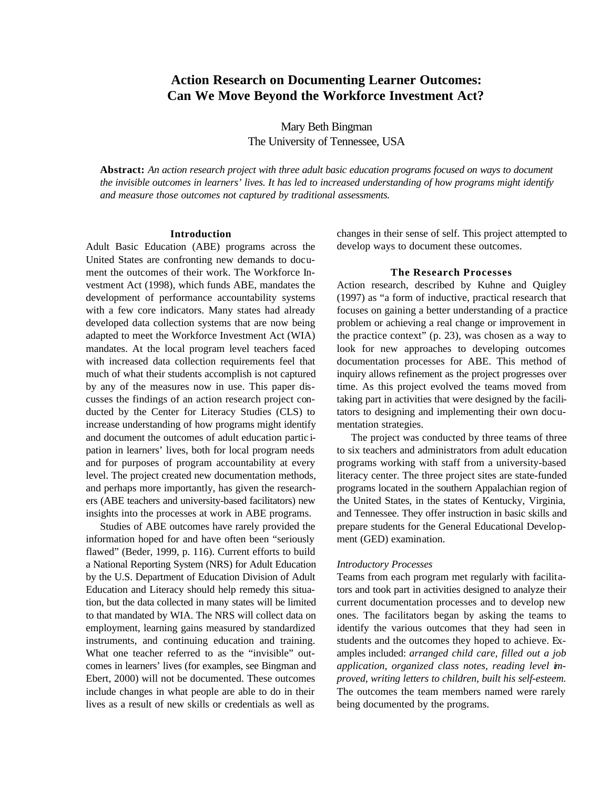# **Action Research on Documenting Learner Outcomes: Can We Move Beyond the Workforce Investment Act?**

Mary Beth Bingman The University of Tennessee, USA

**Abstract:** *An action research project with three adult basic education programs focused on ways to document the invisible outcomes in learners' lives. It has led to increased understanding of how programs might identify and measure those outcomes not captured by traditional assessments.*

#### **Introduction**

Adult Basic Education (ABE) programs across the United States are confronting new demands to document the outcomes of their work. The Workforce Investment Act (1998), which funds ABE, mandates the development of performance accountability systems with a few core indicators. Many states had already developed data collection systems that are now being adapted to meet the Workforce Investment Act (WIA) mandates. At the local program level teachers faced with increased data collection requirements feel that much of what their students accomplish is not captured by any of the measures now in use. This paper discusses the findings of an action research project conducted by the Center for Literacy Studies (CLS) to increase understanding of how programs might identify and document the outcomes of adult education partic ipation in learners' lives, both for local program needs and for purposes of program accountability at every level. The project created new documentation methods, and perhaps more importantly, has given the researchers (ABE teachers and university-based facilitators) new insights into the processes at work in ABE programs.

Studies of ABE outcomes have rarely provided the information hoped for and have often been "seriously flawed" (Beder, 1999, p. 116). Current efforts to build a National Reporting System (NRS) for Adult Education by the U.S. Department of Education Division of Adult Education and Literacy should help remedy this situation, but the data collected in many states will be limited to that mandated by WIA. The NRS will collect data on employment, learning gains measured by standardized instruments, and continuing education and training. What one teacher referred to as the "invisible" outcomes in learners' lives (for examples, see Bingman and Ebert, 2000) will not be documented. These outcomes include changes in what people are able to do in their lives as a result of new skills or credentials as well as

changes in their sense of self. This project attempted to develop ways to document these outcomes.

#### **The Research Processes**

Action research, described by Kuhne and Quigley (1997) as "a form of inductive, practical research that focuses on gaining a better understanding of a practice problem or achieving a real change or improvement in the practice context" (p. 23), was chosen as a way to look for new approaches to developing outcomes documentation processes for ABE. This method of inquiry allows refinement as the project progresses over time. As this project evolved the teams moved from taking part in activities that were designed by the facilitators to designing and implementing their own documentation strategies.

The project was conducted by three teams of three to six teachers and administrators from adult education programs working with staff from a university-based literacy center. The three project sites are state-funded programs located in the southern Appalachian region of the United States, in the states of Kentucky, Virginia, and Tennessee. They offer instruction in basic skills and prepare students for the General Educational Development (GED) examination.

#### *Introductory Processes*

Teams from each program met regularly with facilitators and took part in activities designed to analyze their current documentation processes and to develop new ones. The facilitators began by asking the teams to identify the various outcomes that they had seen in students and the outcomes they hoped to achieve. Examples included: *arranged child care, filled out a job application, organized class notes, reading level improved, writing letters to children, built his self-esteem.* The outcomes the team members named were rarely being documented by the programs.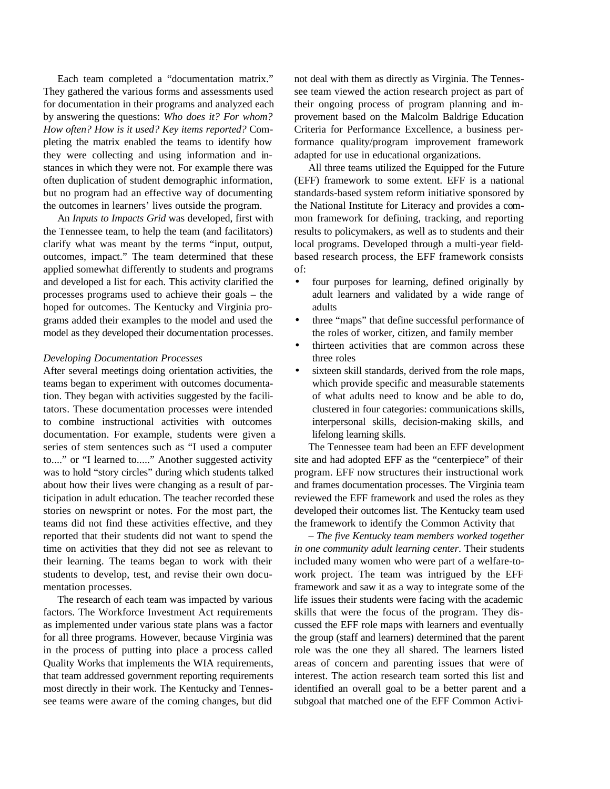Each team completed a "documentation matrix." They gathered the various forms and assessments used for documentation in their programs and analyzed each by answering the questions: *Who does it? For whom? How often? How is it used? Key items reported?* Completing the matrix enabled the teams to identify how they were collecting and using information and instances in which they were not. For example there was often duplication of student demographic information, but no program had an effective way of documenting the outcomes in learners' lives outside the program.

An *Inputs to Impacts Grid* was developed, first with the Tennessee team, to help the team (and facilitators) clarify what was meant by the terms "input, output, outcomes, impact." The team determined that these applied somewhat differently to students and programs and developed a list for each. This activity clarified the processes programs used to achieve their goals – the hoped for outcomes. The Kentucky and Virginia programs added their examples to the model and used the model as they developed their documentation processes.

#### *Developing Documentation Processes*

After several meetings doing orientation activities, the teams began to experiment with outcomes documentation. They began with activities suggested by the facilitators. These documentation processes were intended to combine instructional activities with outcomes documentation. For example, students were given a series of stem sentences such as "I used a computer to...." or "I learned to....." Another suggested activity was to hold "story circles" during which students talked about how their lives were changing as a result of participation in adult education. The teacher recorded these stories on newsprint or notes. For the most part, the teams did not find these activities effective, and they reported that their students did not want to spend the time on activities that they did not see as relevant to their learning. The teams began to work with their students to develop, test, and revise their own documentation processes.

The research of each team was impacted by various factors. The Workforce Investment Act requirements as implemented under various state plans was a factor for all three programs. However, because Virginia was in the process of putting into place a process called Quality Works that implements the WIA requirements, that team addressed government reporting requirements most directly in their work. The Kentucky and Tennessee teams were aware of the coming changes, but did

not deal with them as directly as Virginia. The Tennessee team viewed the action research project as part of their ongoing process of program planning and improvement based on the Malcolm Baldrige Education Criteria for Performance Excellence, a business performance quality/program improvement framework adapted for use in educational organizations.

All three teams utilized the Equipped for the Future (EFF) framework to some extent. EFF is a national standards-based system reform initiative sponsored by the National Institute for Literacy and provides a common framework for defining, tracking, and reporting results to policymakers, as well as to students and their local programs. Developed through a multi-year fieldbased research process, the EFF framework consists of:

- four purposes for learning, defined originally by adult learners and validated by a wide range of adults
- three "maps" that define successful performance of the roles of worker, citizen, and family member
- thirteen activities that are common across these three roles
- sixteen skill standards, derived from the role maps, which provide specific and measurable statements of what adults need to know and be able to do, clustered in four categories: communications skills, interpersonal skills, decision-making skills, and lifelong learning skills.

The Tennessee team had been an EFF development site and had adopted EFF as the "centerpiece" of their program. EFF now structures their instructional work and frames documentation processes. The Virginia team reviewed the EFF framework and used the roles as they developed their outcomes list. The Kentucky team used the framework to identify the Common Activity that

*– The five Kentucky team members worked together in one community adult learning center*. Their students included many women who were part of a welfare-towork project. The team was intrigued by the EFF framework and saw it as a way to integrate some of the life issues their students were facing with the academic skills that were the focus of the program. They discussed the EFF role maps with learners and eventually the group (staff and learners) determined that the parent role was the one they all shared. The learners listed areas of concern and parenting issues that were of interest. The action research team sorted this list and identified an overall goal to be a better parent and a subgoal that matched one of the EFF Common Activi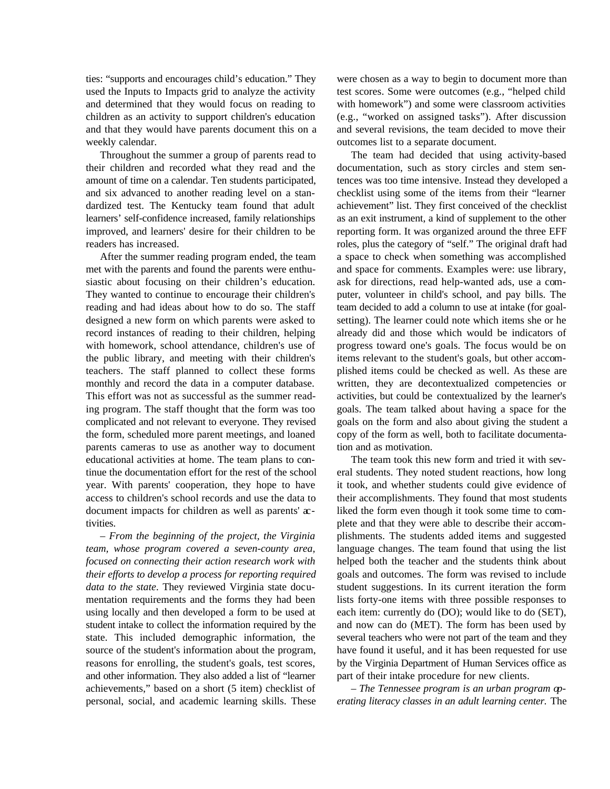ties: "supports and encourages child's education." They used the Inputs to Impacts grid to analyze the activity and determined that they would focus on reading to children as an activity to support children's education and that they would have parents document this on a weekly calendar.

Throughout the summer a group of parents read to their children and recorded what they read and the amount of time on a calendar. Ten students participated, and six advanced to another reading level on a standardized test. The Kentucky team found that adult learners' self-confidence increased, family relationships improved, and learners' desire for their children to be readers has increased.

After the summer reading program ended, the team met with the parents and found the parents were enthusiastic about focusing on their children's education. They wanted to continue to encourage their children's reading and had ideas about how to do so. The staff designed a new form on which parents were asked to record instances of reading to their children, helping with homework, school attendance, children's use of the public library, and meeting with their children's teachers. The staff planned to collect these forms monthly and record the data in a computer database. This effort was not as successful as the summer reading program. The staff thought that the form was too complicated and not relevant to everyone. They revised the form, scheduled more parent meetings, and loaned parents cameras to use as another way to document educational activities at home. The team plans to continue the documentation effort for the rest of the school year. With parents' cooperation, they hope to have access to children's school records and use the data to document impacts for children as well as parents' activities.

*– From the beginning of the project, the Virginia team, whose program covered a seven-county area, focused on connecting their action research work with their efforts to develop a process for reporting required data to the state*. They reviewed Virginia state documentation requirements and the forms they had been using locally and then developed a form to be used at student intake to collect the information required by the state. This included demographic information, the source of the student's information about the program, reasons for enrolling, the student's goals, test scores, and other information. They also added a list of "learner achievements," based on a short (5 item) checklist of personal, social, and academic learning skills. These were chosen as a way to begin to document more than test scores. Some were outcomes (e.g., "helped child with homework") and some were classroom activities (e.g., "worked on assigned tasks"). After discussion and several revisions, the team decided to move their outcomes list to a separate document.

The team had decided that using activity-based documentation, such as story circles and stem sentences was too time intensive. Instead they developed a checklist using some of the items from their "learner achievement" list. They first conceived of the checklist as an exit instrument, a kind of supplement to the other reporting form. It was organized around the three EFF roles, plus the category of "self." The original draft had a space to check when something was accomplished and space for comments. Examples were: use library, ask for directions, read help-wanted ads, use a computer, volunteer in child's school, and pay bills. The team decided to add a column to use at intake (for goalsetting). The learner could note which items she or he already did and those which would be indicators of progress toward one's goals. The focus would be on items relevant to the student's goals, but other accomplished items could be checked as well. As these are written, they are decontextualized competencies or activities, but could be contextualized by the learner's goals. The team talked about having a space for the goals on the form and also about giving the student a copy of the form as well, both to facilitate documentation and as motivation.

The team took this new form and tried it with several students. They noted student reactions, how long it took, and whether students could give evidence of their accomplishments. They found that most students liked the form even though it took some time to complete and that they were able to describe their accomplishments. The students added items and suggested language changes. The team found that using the list helped both the teacher and the students think about goals and outcomes. The form was revised to include student suggestions. In its current iteration the form lists forty-one items with three possible responses to each item: currently do (DO); would like to do (SET), and now can do (MET). The form has been used by several teachers who were not part of the team and they have found it useful, and it has been requested for use by the Virginia Department of Human Services office as part of their intake procedure for new clients.

– *The Tennessee program is an urban program operating literacy classes in an adult learning center.* The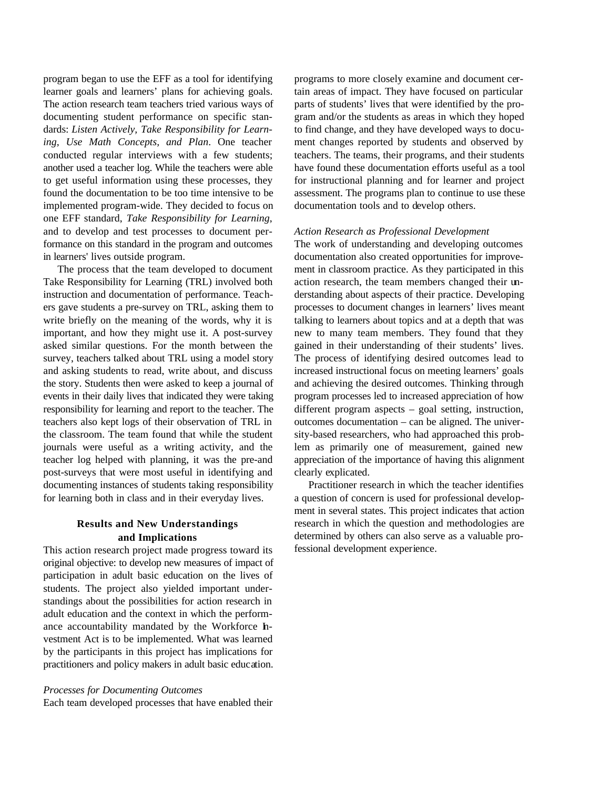program began to use the EFF as a tool for identifying learner goals and learners' plans for achieving goals. The action research team teachers tried various ways of documenting student performance on specific standards: *Listen Actively, Take Responsibility for Learning, Use Math Concepts, and Plan*. One teacher conducted regular interviews with a few students; another used a teacher log. While the teachers were able to get useful information using these processes, they found the documentation to be too time intensive to be implemented program-wide. They decided to focus on one EFF standard, *Take Responsibility for Learning*, and to develop and test processes to document performance on this standard in the program and outcomes in learners' lives outside program.

The process that the team developed to document Take Responsibility for Learning (TRL) involved both instruction and documentation of performance. Teachers gave students a pre-survey on TRL, asking them to write briefly on the meaning of the words, why it is important, and how they might use it. A post-survey asked similar questions. For the month between the survey, teachers talked about TRL using a model story and asking students to read, write about, and discuss the story. Students then were asked to keep a journal of events in their daily lives that indicated they were taking responsibility for learning and report to the teacher. The teachers also kept logs of their observation of TRL in the classroom. The team found that while the student journals were useful as a writing activity, and the teacher log helped with planning, it was the pre-and post-surveys that were most useful in identifying and documenting instances of students taking responsibility for learning both in class and in their everyday lives.

## **Results and New Understandings and Implications**

This action research project made progress toward its original objective: to develop new measures of impact of participation in adult basic education on the lives of students. The project also yielded important understandings about the possibilities for action research in adult education and the context in which the performance accountability mandated by the Workforce Investment Act is to be implemented. What was learned by the participants in this project has implications for practitioners and policy makers in adult basic education.

# *Processes for Documenting Outcomes*

Each team developed processes that have enabled their

programs to more closely examine and document certain areas of impact. They have focused on particular parts of students' lives that were identified by the program and/or the students as areas in which they hoped to find change, and they have developed ways to document changes reported by students and observed by teachers. The teams, their programs, and their students have found these documentation efforts useful as a tool for instructional planning and for learner and project assessment. The programs plan to continue to use these documentation tools and to develop others.

### *Action Research as Professional Development*

The work of understanding and developing outcomes documentation also created opportunities for improvement in classroom practice. As they participated in this action research, the team members changed their understanding about aspects of their practice. Developing processes to document changes in learners' lives meant talking to learners about topics and at a depth that was new to many team members. They found that they gained in their understanding of their students' lives. The process of identifying desired outcomes lead to increased instructional focus on meeting learners' goals and achieving the desired outcomes. Thinking through program processes led to increased appreciation of how different program aspects – goal setting, instruction, outcomes documentation – can be aligned. The university-based researchers, who had approached this problem as primarily one of measurement, gained new appreciation of the importance of having this alignment clearly explicated.

Practitioner research in which the teacher identifies a question of concern is used for professional development in several states. This project indicates that action research in which the question and methodologies are determined by others can also serve as a valuable professional development experience.